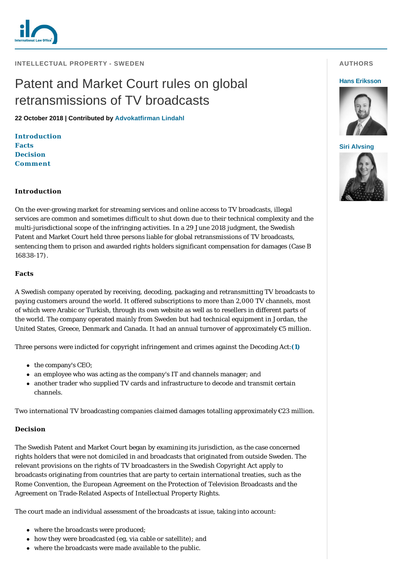

**INTELLECTUAL PROPERTY - SWEDEN** 

# Patent and Market Court rules on global retransmissions of TV broadcasts

**22 October 2018 | Contributed by [Advokatfirman Lindahl](https://www.internationallawoffice.com/gesr.ashx?l=85A000K)**

**[Introduction](#page-0-0) [Facts](#page-0-1) [Decision](#page-0-2) [Comment](#page-2-0)**

# <span id="page-0-0"></span>**Introduction**

On the ever-growing market for streaming services and online access to TV broadcasts, illegal services are common and sometimes difficult to shut down due to their technical complexity and the multi-jurisdictional scope of the infringing activities. In a 29 June 2018 judgment, the Swedish Patent and Market Court held three persons liable for global retransmissions of TV broadcasts, sentencing them to prison and awarded rights holders significant compensation for damages (Case B 16838-17).

# <span id="page-0-1"></span>**Facts**

A Swedish company operated by receiving, decoding, packaging and retransmitting TV broadcasts to paying customers around the world. It offered subscriptions to more than 2,000 TV channels, most of which were Arabic or Turkish, through its own website as well as to resellers in different parts of the world. The company operated mainly from Sweden but had technical equipment in Jordan, the United States, Greece, Denmark and Canada. It had an annual turnover of approximately €5 million.

Three persons were indicted for copyright infringement and crimes against the Decoding Act:**[\(1\)](#page-2-1)**

- the company's CEO;
- an employee who was acting as the company's IT and channels manager; and
- another trader who supplied TV cards and infrastructure to decode and transmit certain channels.

Two international TV broadcasting companies claimed damages totalling approximately  $\mathcal{L}23$  million.

# <span id="page-0-2"></span>**Decision**

The Swedish Patent and Market Court began by examining its jurisdiction, as the case concerned rights holders that were not domiciled in and broadcasts that originated from outside Sweden. The relevant provisions on the rights of TV broadcasters in the Swedish Copyright Act apply to broadcasts originating from countries that are party to certain international treaties, such as the Rome Convention, the European Agreement on the Protection of Television Broadcasts and the Agreement on Trade-Related Aspects of Intellectual Property Rights.

The court made an individual assessment of the broadcasts at issue, taking into account:

- where the broadcasts were produced;
- $\bullet$  how they were broadcasted (eg, via cable or satellite); and
- where the broadcasts were made available to the public.

# **AUTHORS**

#### **[Hans Eriksson](https://www.internationallawoffice.com/gesr.ashx?l=85A0022)**



**[Siri Alvsing](https://www.internationallawoffice.com/gesr.ashx?l=85A0046)**

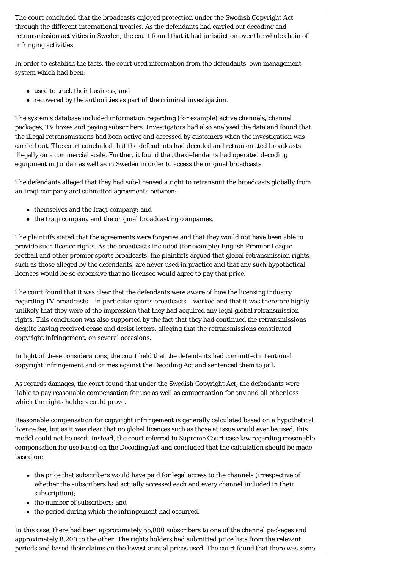The court concluded that the broadcasts enjoyed protection under the Swedish Copyright Act through the different international treaties. As the defendants had carried out decoding and retransmission activities in Sweden, the court found that it had jurisdiction over the whole chain of infringing activities.

In order to establish the facts, the court used information from the defendants' own management system which had been:

- used to track their business; and
- recovered by the authorities as part of the criminal investigation.

The system's database included information regarding (for example) active channels, channel packages, TV boxes and paying subscribers. Investigators had also analysed the data and found that the illegal retransmissions had been active and accessed by customers when the investigation was carried out. The court concluded that the defendants had decoded and retransmitted broadcasts illegally on a commercial scale. Further, it found that the defendants had operated decoding equipment in Jordan as well as in Sweden in order to access the original broadcasts.

The defendants alleged that they had sub-licensed a right to retransmit the broadcasts globally from an Iraqi company and submitted agreements between:

- $\bullet$  themselves and the Iraqi company; and
- $\bullet$  the Iraqi company and the original broadcasting companies.

The plaintiffs stated that the agreements were forgeries and that they would not have been able to provide such licence rights. As the broadcasts included (for example) English Premier League football and other premier sports broadcasts, the plaintiffs argued that global retransmission rights, such as those alleged by the defendants, are never used in practice and that any such hypothetical licences would be so expensive that no licensee would agree to pay that price.

The court found that it was clear that the defendants were aware of how the licensing industry regarding TV broadcasts – in particular sports broadcasts – worked and that it was therefore highly unlikely that they were of the impression that they had acquired any legal global retransmission rights. This conclusion was also supported by the fact that they had continued the retransmissions despite having received cease and desist letters, alleging that the retransmissions constituted copyright infringement, on several occasions.

In light of these considerations, the court held that the defendants had committed intentional copyright infringement and crimes against the Decoding Act and sentenced them to jail.

As regards damages, the court found that under the Swedish Copyright Act, the defendants were liable to pay reasonable compensation for use as well as compensation for any and all other loss which the rights holders could prove.

Reasonable compensation for copyright infringement is generally calculated based on a hypothetical licence fee, but as it was clear that no global licences such as those at issue would ever be used, this model could not be used. Instead, the court referred to Supreme Court case law regarding reasonable compensation for use based on the Decoding Act and concluded that the calculation should be made based on:

- the price that subscribers would have paid for legal access to the channels (irrespective of whether the subscribers had actually accessed each and every channel included in their subscription);
- the number of subscribers; and
- $\bullet$  the period during which the infringement had occurred.

In this case, there had been approximately 55,000 subscribers to one of the channel packages and approximately 8,200 to the other. The rights holders had submitted price lists from the relevant periods and based their claims on the lowest annual prices used. The court found that there was some